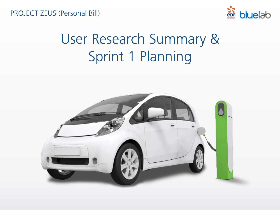PROJECT ZEUS (Personal Bill)



### User Research Summary & Sprint 1 Planning

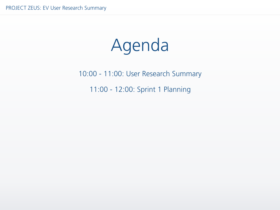## Agenda

#### 10:00 - 11:00: User Research Summary 11:00 - 12:00: Sprint 1 Planning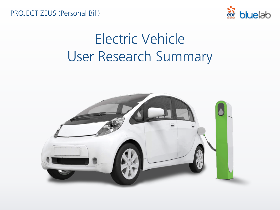PROJECT ZEUS (Personal Bill)



### Electric Vehicle User Research Summary

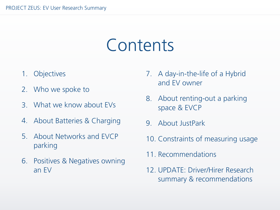### Contents

- 1. Objectives
- 2. Who we spoke to
- 3. What we know about EVs
- 4. About Batteries & Charging
- 5. About Networks and EVCP parking
- 6. Positives & Negatives owning an EV
- 7. A day-in-the-life of a Hybrid and EV owner
- 8. About renting-out a parking space & EVCP
- 9. About JustPark
- 10. Constraints of measuring usage
- 11. Recommendations
- 12. UPDATE: Driver/Hirer Research summary & recommendations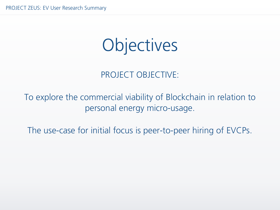## Objectives

#### PROJECT OBJECTIVE:

#### To explore the commercial viability of Blockchain in relation to personal energy micro-usage.

The use-case for initial focus is peer-to-peer hiring of EVCPs.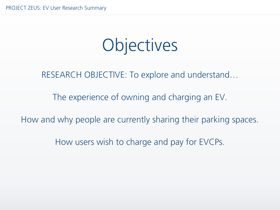## Objectives

RESEARCH OBJECTIVE: To explore and understand…

The experience of owning and charging an EV.

How and why people are currently sharing their parking spaces.

How users wish to charge and pay for EVCPs.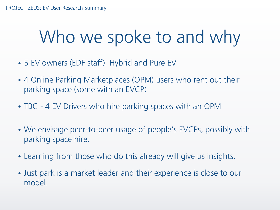## Who we spoke to and why

- 5 EV owners (EDF staff): Hybrid and Pure EV
- 4 Online Parking Marketplaces (OPM) users who rent out their parking space (some with an EVCP)
- TBC 4 EV Drivers who hire parking spaces with an OPM
- We envisage peer-to-peer usage of people's EVCPs, possibly with parking space hire.
- Learning from those who do this already will give us insights.
- Just park is a market leader and their experience is close to our model.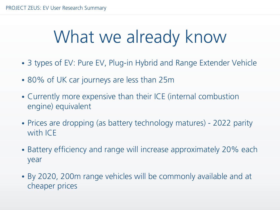## What we already know

- 3 types of EV: Pure EV, Plug-in Hybrid and Range Extender Vehicle
- 80% of UK car journeys are less than 25m
- Currently more expensive than their ICE (internal combustion engine) equivalent
- Prices are dropping (as battery technology matures) 2022 parity with ICE
- Battery efficiency and range will increase approximately 20% each year
- By 2020, 200m range vehicles will be commonly available and at cheaper prices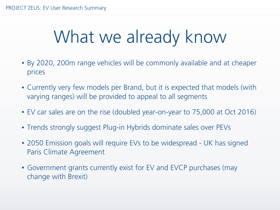## What we already know

- By 2020, 200m range vehicles will be commonly available and at cheaper prices
- Currently very few models per Brand, but it is expected that models (with varying ranges) will be provided to appeal to all segments
- EV car sales are on the rise (doubled year-on-year to 75,000 at Oct 2016)
- Trends strongly suggest Plug-in Hybrids dominate sales over PEVs
- 2050 Emission goals will require EVs to be widespread UK has signed Paris Climate Agreement
- Government grants currently exist for EV and EVCP purchases (may change with Brexit)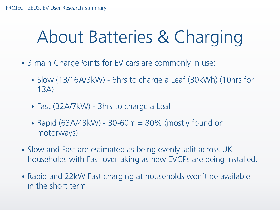## About Batteries & Charging

- 3 main ChargePoints for EV cars are commonly in use:
	- Slow (13/16A/3kW) 6hrs to charge a Leaf (30kWh) (10hrs for 13A)
	- Fast (32A/7kW) 3hrs to charge a Leaf
	- Rapid  $(63A/43kW)$  30-60 $m = 80\%$  (mostly found on motorways)
- Slow and Fast are estimated as being evenly split across UK households with Fast overtaking as new EVCPs are being installed.
- Rapid and 22kW Fast charging at households won't be available in the short term.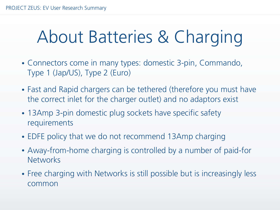## About Batteries & Charging

- Connectors come in many types: domestic 3-pin, Commando, Type 1 (Jap/US), Type 2 (Euro)
- Fast and Rapid chargers can be tethered (therefore you must have the correct inlet for the charger outlet) and no adaptors exist
- 13Amp 3-pin domestic plug sockets have specific safety requirements
- EDFE policy that we do not recommend 13Amp charging
- Away-from-home charging is controlled by a number of paid-for **Networks**
- Free charging with Networks is still possible but is increasingly less common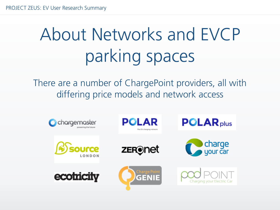# About Networks and EVCP parking spaces

There are a number of ChargePoint providers, all with differing price models and network access

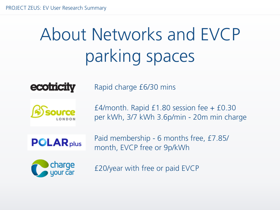# About Networks and EVCP parking spaces



Rapid charge £6/30 mins

£4/month. Rapid £1.80 session fee + £0.30 per kWh, 3/7 kWh 3.6p/min - 20m min charge



Paid membership - 6 months free, £7.85/ month, EVCP free or 9p/kWh



£20/year with free or paid EVCP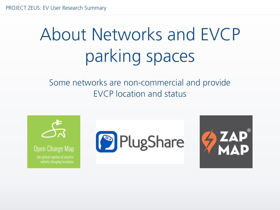# About Networks and EVCP parking spaces

Some networks are non-commercial and provide EVCP location and status

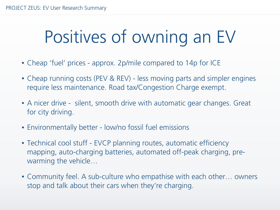## Positives of owning an EV

- Cheap 'fuel' prices approx. 2p/mile compared to 14p for ICE
- Cheap running costs (PEV & REV) less moving parts and simpler engines require less maintenance. Road tax/Congestion Charge exempt.
- A nicer drive silent, smooth drive with automatic gear changes. Great for city driving.
- Environmentally better low/no fossil fuel emissions
- Technical cool stuff EVCP planning routes, automatic efficiency mapping, auto-charging batteries, automated off-peak charging, prewarming the vehicle…
- Community feel. A sub-culture who empathise with each other... owners stop and talk about their cars when they're charging.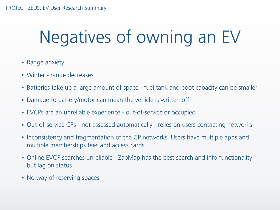## Negatives of owning an EV

- Range anxiety
- Winter range decreases
- Batteries take up a large amount of space fuel tank and boot capacity can be smaller
- Damage to battery/motor can mean the vehicle is written off
- EVCPs are an unreliable experience out-of-service or occupied
- Out-of-service CPs not assessed automatically relies on users contacting networks
- Inconsistency and fragmentation of the CP networks. Users have multiple apps and multiple memberships fees and access cards.
- Online EVCP searches unreliable ZapMap has the best search and info functionality but lag on status
- No way of reserving spaces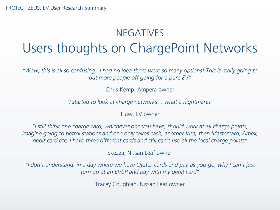#### NEGATIVES Users thoughts on ChargePoint Networks

*"Wow, this is all so confusing...I had no idea there were so many options! This is really going to put more people off going for a pure EV"*

Chris Kemp, Ampera owner

*"I started to look at charge networks… what a nightmare!"* 

Huw, EV owner

*"I still think one charge card, whichever one you have, should work at all charge points, imagine going to petrol stations and one only takes cash, another Visa, then Mastercard, Amex, debit card etc, I have three different cards and still can't use all the local charge points"* 

Skezza, Nissan Leaf owner

*"I don't understand, in a day where we have Oyster-cards and pay-as-you-go, why I can't just turn up at an EVCP and pay with my debit card"* 

Tracey Coughlan, Nissan Leaf owner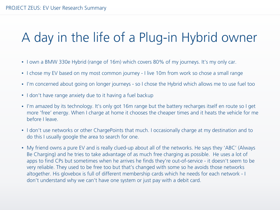#### A day in the life of a Plug-in Hybrid owner

- I own a BMW 330e Hybrid (range of 16m) which covers 80% of my journeys. It's my only car.
- I chose my EV based on my most common journey I live 10m from work so chose a small range
- I'm concerned about going on longer journeys so I chose the Hybrid which allows me to use fuel too
- I don't have range anxiety due to it having a fuel backup
- I'm amazed by its technology. It's only got 16m range but the battery recharges itself en route so I get more 'free' energy. When I charge at home it chooses the cheaper times and it heats the vehicle for me before I leave.
- I don't use networks or other ChargePoints that much. I occasionally charge at my destination and to do this I usually google the area to search for one.
- My friend owns a pure EV and is really clued-up about all of the networks. He says they 'ABC' (Always Be Charging) and he tries to take advantage of as much free charging as possible. He uses a lot of apps to find CPs but sometimes when he arrives he finds they're out-of-service - it doesn't seem to be very reliable. They used to be free too but that's changed with some so he avoids those networks altogether. His glovebox is full of different membership cards which he needs for each network - I don't understand why we can't have one system or just pay with a debit card.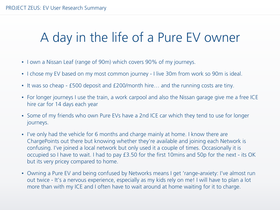#### A day in the life of a Pure EV owner

- I own a Nissan Leaf (range of 90m) which covers 90% of my journeys.
- I chose my EV based on my most common journey I live 30m from work so 90m is ideal.
- It was so cheap £500 deposit and £200/month hire… and the running costs are tiny.
- For longer journeys I use the train, a work carpool and also the Nissan garage give me a free ICE hire car for 14 days each year
- Some of my friends who own Pure EVs have a 2nd ICE car which they tend to use for longer journeys.
- I've only had the vehicle for 6 months and charge mainly at home. I know there are ChargePoints out there but knowing whether they're available and joining each Network is confusing. I've joined a local network but only used it a couple of times. Occasionally it is occupied so I have to wait. I had to pay £3.50 for the first 10mins and 50p for the next - its OK but its very pricey compared to home.
- Owning a Pure EV and being confused by Networks means I get 'range-anxiety: I've almost run out twice - It's a nervous experience, especially as my kids rely on me! I will have to plan a lot more than with my ICE and I often have to wait around at home waiting for it to charge.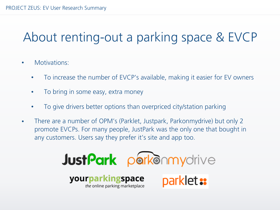#### About renting-out a parking space & EVCP

- Motivations:
	- To increase the number of EVCP's available, making it easier for EV owners
	- To bring in some easy, extra money
	- To give drivers better options than overpriced city/station parking
- There are a number of OPM's (Parklet, Justpark, Parkonmydrive) but only 2 promote EVCPs. For many people, JustPark was the only one that bought in any customers. Users say they prefer it's site and app too.

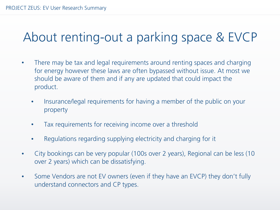#### About renting-out a parking space & EVCP

- There may be tax and legal requirements around renting spaces and charging for energy however these laws are often bypassed without issue. At most we should be aware of them and if any are updated that could impact the product.
	- Insurance/legal requirements for having a member of the public on your property
	- Tax requirements for receiving income over a threshold
	- Regulations regarding supplying electricity and charging for it
- City bookings can be very popular (100s over 2 years), Regional can be less (10 over 2 years) which can be dissatisfying.
- Some Vendors are not EV owners (even if they have an EVCP) they don't fully understand connectors and CP types.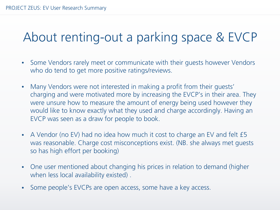#### About renting-out a parking space & EVCP

- Some Vendors rarely meet or communicate with their guests however Vendors who do tend to get more positive ratings/reviews.
- Many Vendors were not interested in making a profit from their quests' charging and were motivated more by increasing the EVCP's in their area. They were unsure how to measure the amount of energy being used however they would like to know exactly what they used and charge accordingly. Having an EVCP was seen as a draw for people to book.
- A Vendor (no EV) had no idea how much it cost to charge an EV and felt £5 was reasonable. Charge cost misconceptions exist. (NB. she always met guests so has high effort per booking)
- One user mentioned about changing his prices in relation to demand (higher when less local availability existed).
- Some people's EVCPs are open access, some have a key access.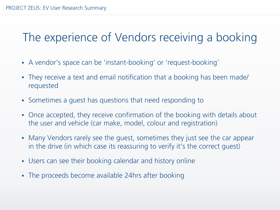#### The experience of Vendors receiving a booking

- A vendor's space can be 'instant-booking' or 'request-booking'
- They receive a text and email notification that a booking has been made/ requested
- Sometimes a guest has questions that need responding to
- Once accepted, they receive confirmation of the booking with details about the user and vehicle (car make, model, colour and registration)
- Many Vendors rarely see the quest, sometimes they just see the car appear in the drive (in which case its reassuring to verify it's the correct guest)
- Users can see their booking calendar and history online
- The proceeds become available 24hrs after booking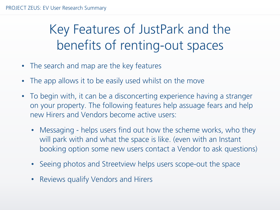#### Key Features of JustPark and the benefits of renting-out spaces

- The search and map are the key features
- The app allows it to be easily used whilst on the move
- To begin with, it can be a disconcerting experience having a stranger on your property. The following features help assuage fears and help new Hirers and Vendors become active users:
	- Messaging helps users find out how the scheme works, who they will park with and what the space is like. (even with an Instant booking option some new users contact a Vendor to ask questions)
	- Seeing photos and Streetview helps users scope-out the space
	- Reviews qualify Vendors and Hirers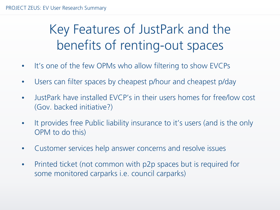#### Key Features of JustPark and the benefits of renting-out spaces

- It's one of the few OPMs who allow filtering to show EVCPs
- Users can filter spaces by cheapest p/hour and cheapest p/day
- JustPark have installed EVCP's in their users homes for free/low cost (Gov. backed initiative?)
- It provides free Public liability insurance to it's users (and is the only OPM to do this)
- Customer services help answer concerns and resolve issues
- Printed ticket (not common with p2p spaces but is required for some monitored carparks i.e. council carparks)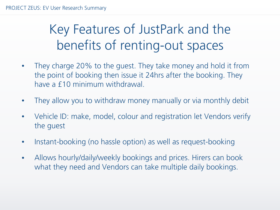#### Key Features of JustPark and the benefits of renting-out spaces

- They charge 20% to the guest. They take money and hold it from the point of booking then issue it 24hrs after the booking. They have a £10 minimum withdrawal.
- They allow you to withdraw money manually or via monthly debit
- Vehicle ID: make, model, colour and registration let Vendors verify the guest
- Instant-booking (no hassle option) as well as request-booking
- Allows hourly/daily/weekly bookings and prices. Hirers can book what they need and Vendors can take multiple daily bookings.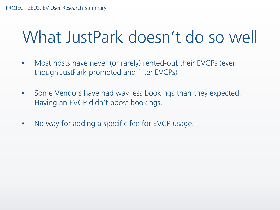### What JustPark doesn't do so well

- Most hosts have never (or rarely) rented-out their EVCPs (even though JustPark promoted and filter EVCPs)
- Some Vendors have had way less bookings than they expected. Having an EVCP didn't boost bookings.
- No way for adding a specific fee for EVCP usage.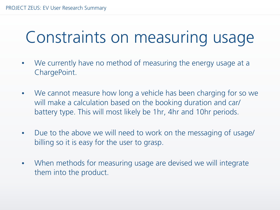### Constraints on measuring usage

- We currently have no method of measuring the energy usage at a ChargePoint.
- We cannot measure how long a vehicle has been charging for so we will make a calculation based on the booking duration and car/ battery type. This will most likely be 1hr, 4hr and 10hr periods.
- Due to the above we will need to work on the messaging of usage/ billing so it is easy for the user to grasp.
- When methods for measuring usage are devised we will integrate them into the product.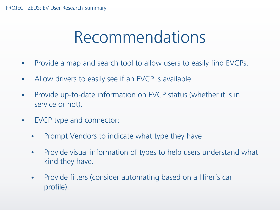### Recommendations

- Provide a map and search tool to allow users to easily find EVCPs.
- Allow drivers to easily see if an EVCP is available.
- Provide up-to-date information on EVCP status (whether it is in service or not).
- EVCP type and connector:
	- Prompt Vendors to indicate what type they have
	- Provide visual information of types to help users understand what kind they have.
	- Provide filters (consider automating based on a Hirer's car profile).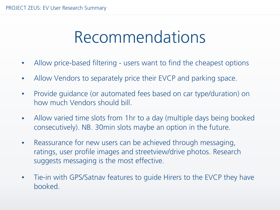### Recommendations

- Allow price-based filtering users want to find the cheapest options
- Allow Vendors to separately price their EVCP and parking space.
- Provide quidance (or automated fees based on car type/duration) on how much Vendors should bill.
- Allow varied time slots from 1hr to a day (multiple days being booked consecutively). NB. 30min slots maybe an option in the future.
- Reassurance for new users can be achieved through messaging, ratings, user profile images and streetview/drive photos. Research suggests messaging is the most effective.
- Tie-in with GPS/Satnav features to quide Hirers to the EVCP they have booked.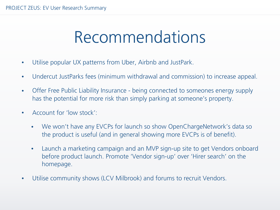### Recommendations

- Utilise popular UX patterns from Uber, Airbnb and JustPark.
- Undercut JustParks fees (minimum withdrawal and commission) to increase appeal.
- Offer Free Public Liability Insurance being connected to someones energy supply has the potential for more risk than simply parking at someone's property.
- Account for 'low stock':
	- We won't have any EVCPs for launch so show OpenChargeNetwork's data so the product is useful (and in general showing more EVCPs is of benefit).
	- Launch a marketing campaign and an MVP sign-up site to get Vendors onboard before product launch. Promote 'Vendor sign-up' over 'Hirer search' on the homepage.
- Utilise community shows (LCV Milbrook) and forums to recruit Vendors.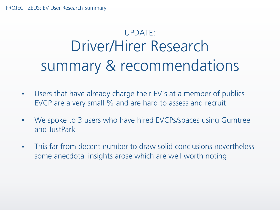### UPDATE: Driver/Hirer Research summary & recommendations

- Users that have already charge their EV's at a member of publics EVCP are a very small % and are hard to assess and recruit
- We spoke to 3 users who have hired EVCPs/spaces using Gumtree and JustPark
- This far from decent number to draw solid conclusions nevertheless some anecdotal insights arose which are well worth noting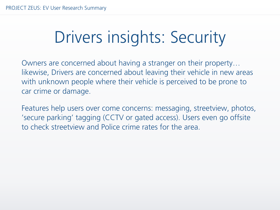## Drivers insights: Security

Owners are concerned about having a stranger on their property… likewise, Drivers are concerned about leaving their vehicle in new areas with unknown people where their vehicle is perceived to be prone to car crime or damage.

Features help users over come concerns: messaging, streetview, photos, 'secure parking' tagging (CCTV or gated access). Users even go offsite to check streetview and Police crime rates for the area.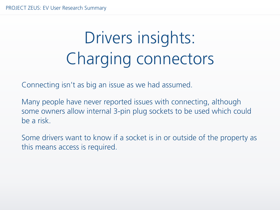## Drivers insights: Charging connectors

Connecting isn't as big an issue as we had assumed.

Many people have never reported issues with connecting, although some owners allow internal 3-pin plug sockets to be used which could be a risk.

Some drivers want to know if a socket is in or outside of the property as this means access is required.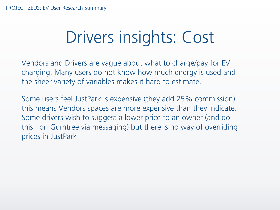## Drivers insights: Cost

Vendors and Drivers are vague about what to charge/pay for EV charging. Many users do not know how much energy is used and the sheer variety of variables makes it hard to estimate.

Some users feel JustPark is expensive (they add 25% commission) this means Vendors spaces are more expensive than they indicate. Some drivers wish to suggest a lower price to an owner (and do this on Gumtree via messaging) but there is no way of overriding prices in JustPark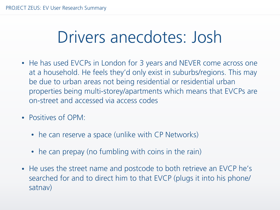### Drivers anecdotes: Josh

- He has used EVCPs in London for 3 years and NEVER come across one at a household. He feels they'd only exist in suburbs/regions. This may be due to urban areas not being residential or residential urban properties being multi-storey/apartments which means that EVCPs are on-street and accessed via access codes
- Positives of OPM:
	- he can reserve a space (unlike with CP Networks)
	- he can prepay (no fumbling with coins in the rain)
- He uses the street name and postcode to both retrieve an EVCP he's searched for and to direct him to that EVCP (plugs it into his phone/ satnav)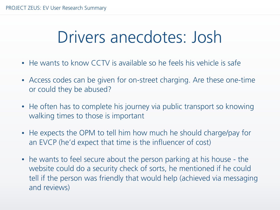### Drivers anecdotes: Josh

- He wants to know CCTV is available so he feels his vehicle is safe
- Access codes can be given for on-street charging. Are these one-time or could they be abused?
- He often has to complete his journey via public transport so knowing walking times to those is important
- He expects the OPM to tell him how much he should charge/pay for an EVCP (he'd expect that time is the influencer of cost)
- he wants to feel secure about the person parking at his house the website could do a security check of sorts, he mentioned if he could tell if the person was friendly that would help (achieved via messaging and reviews)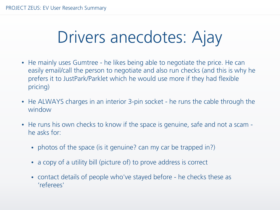## Drivers anecdotes: Ajay

- He mainly uses Gumtree he likes being able to negotiate the price. He can easily email/call the person to negotiate and also run checks (and this is why he prefers it to JustPark/Parklet which he would use more if they had flexible pricing)
- He ALWAYS charges in an interior 3-pin socket he runs the cable through the window
- He runs his own checks to know if the space is genuine, safe and not a scam he asks for:
	- photos of the space (is it genuine? can my car be trapped in?)
	- a copy of a utility bill (picture of) to prove address is correct
	- contact details of people who've stayed before he checks these as 'referees'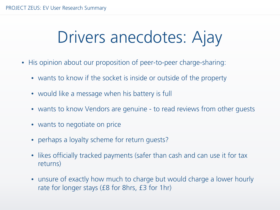## Drivers anecdotes: Ajay

- His opinion about our proposition of peer-to-peer charge-sharing:
	- wants to know if the socket is inside or outside of the property
	- would like a message when his battery is full
	- wants to know Vendors are genuine to read reviews from other quests
	- wants to negotiate on price
	- perhaps a loyalty scheme for return guests?
	- likes officially tracked payments (safer than cash and can use it for tax returns)
	- unsure of exactly how much to charge but would charge a lower hourly rate for longer stays (£8 for 8hrs, £3 for 1hr)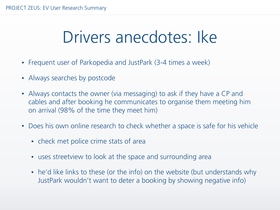### Drivers anecdotes: Ike

- Frequent user of Parkopedia and JustPark (3-4 times a week)
- Always searches by postcode
- Always contacts the owner (via messaging) to ask if they have a CP and cables and after booking he communicates to organise them meeting him on arrival (98% of the time they meet him)
- Does his own online research to check whether a space is safe for his vehicle
	- check met police crime stats of area
	- uses streetview to look at the space and surrounding area
	- he'd like links to these (or the info) on the website (but understands why JustPark wouldn't want to deter a booking by showing negative info)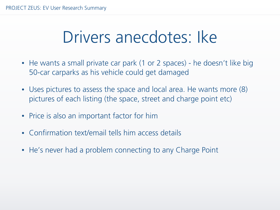### Drivers anecdotes: Ike

- He wants a small private car park (1 or 2 spaces) he doesn't like big 50-car carparks as his vehicle could get damaged
- Uses pictures to assess the space and local area. He wants more  $(8)$ pictures of each listing (the space, street and charge point etc)
- Price is also an important factor for him
- Confirmation text/email tells him access details
- He's never had a problem connecting to any Charge Point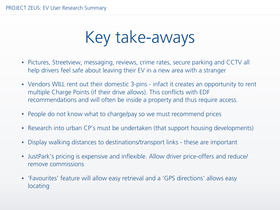Key take-aways

- Pictures, Streetview, messaging, reviews, crime rates, secure parking and CCTV all help drivers feel safe about leaving their EV in a new area with a stranger
- Vendors WILL rent out their domestic 3-pins infact it creates an opportunity to rent multiple Charge Points (if their drive allows). This conflicts with EDF recommendations and will often be inside a property and thus require access.
- People do not know what to charge/pay so we must recommend prices
- Research into urban CP's must be undertaken (that support housing developments)
- Display walking distances to destinations/transport links these are important
- JustPark's pricing is expensive and inflexible. Allow driver price-offers and reduce/ remove commissions
- 'Favourites' feature will allow easy retrieval and a 'GPS directions' allows easy locating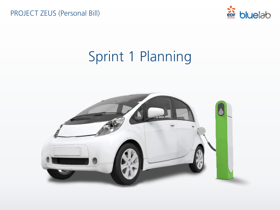PROJECT ZEUS (Personal Bill)



### Sprint 1 Planning